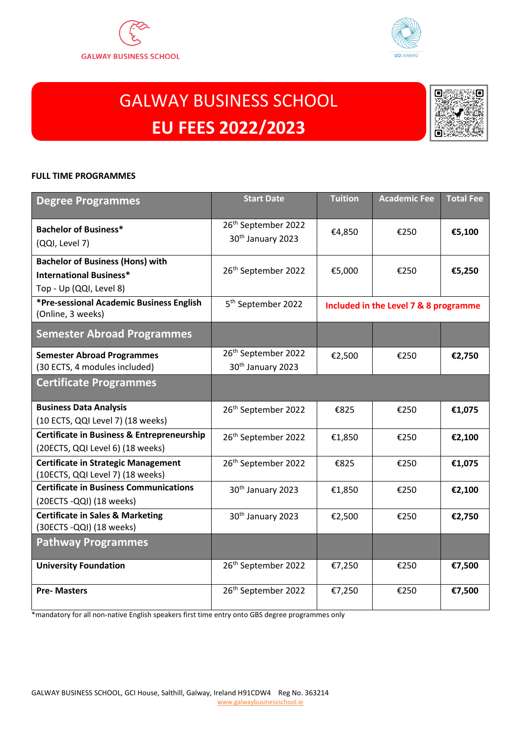



# GALWAY BUSINESS SCHOOL **EU FEES 2022/2023**



#### **FULL TIME PROGRAMMES**

| <b>Degree Programmes</b>                              | <b>Start Date</b>               | <b>Tuition</b> | <b>Academic Fee</b>                   | <b>Total Fee</b> |
|-------------------------------------------------------|---------------------------------|----------------|---------------------------------------|------------------|
| <b>Bachelor of Business*</b>                          | 26 <sup>th</sup> September 2022 | €4,850         | €250                                  | €5,100           |
| (QQI, Level 7)                                        | 30 <sup>th</sup> January 2023   |                |                                       |                  |
| <b>Bachelor of Business (Hons) with</b>               | 26th September 2022             | €5,000         | €250                                  | €5,250           |
| <b>International Business*</b>                        |                                 |                |                                       |                  |
| Top - Up (QQI, Level 8)                               |                                 |                |                                       |                  |
| *Pre-sessional Academic Business English              | 5 <sup>th</sup> September 2022  |                | Included in the Level 7 & 8 programme |                  |
| (Online, 3 weeks)                                     |                                 |                |                                       |                  |
| <b>Semester Abroad Programmes</b>                     |                                 |                |                                       |                  |
| <b>Semester Abroad Programmes</b>                     | 26 <sup>th</sup> September 2022 | €2,500         | €250                                  | €2,750           |
| (30 ECTS, 4 modules included)                         | 30 <sup>th</sup> January 2023   |                |                                       |                  |
| <b>Certificate Programmes</b>                         |                                 |                |                                       |                  |
| <b>Business Data Analysis</b>                         | 26 <sup>th</sup> September 2022 | €825           | €250                                  | €1,075           |
| (10 ECTS, QQI Level 7) (18 weeks)                     |                                 |                |                                       |                  |
| <b>Certificate in Business &amp; Entrepreneurship</b> | 26 <sup>th</sup> September 2022 | €1,850         | €250                                  | €2,100           |
| (20ECTS, QQI Level 6) (18 weeks)                      |                                 |                |                                       |                  |
| <b>Certificate in Strategic Management</b>            | 26th September 2022             | €825           | €250                                  | €1,075           |
| (10ECTS, QQI Level 7) (18 weeks)                      |                                 |                |                                       |                  |
| <b>Certificate in Business Communications</b>         | 30 <sup>th</sup> January 2023   | €1,850         | €250                                  | €2,100           |
| (20ECTS -QQI) (18 weeks)                              |                                 |                |                                       |                  |
| <b>Certificate in Sales &amp; Marketing</b>           | 30 <sup>th</sup> January 2023   | €2,500         | €250                                  | €2,750           |
| (30ECTS - QQI) (18 weeks)                             |                                 |                |                                       |                  |
| <b>Pathway Programmes</b>                             |                                 |                |                                       |                  |
| <b>University Foundation</b>                          | 26 <sup>th</sup> September 2022 | €7,250         | €250                                  | €7,500           |
| <b>Pre-Masters</b>                                    | 26 <sup>th</sup> September 2022 | €7,250         | €250                                  | €7,500           |

\*mandatory for all non-native English speakers first time entry onto GBS degree programmes only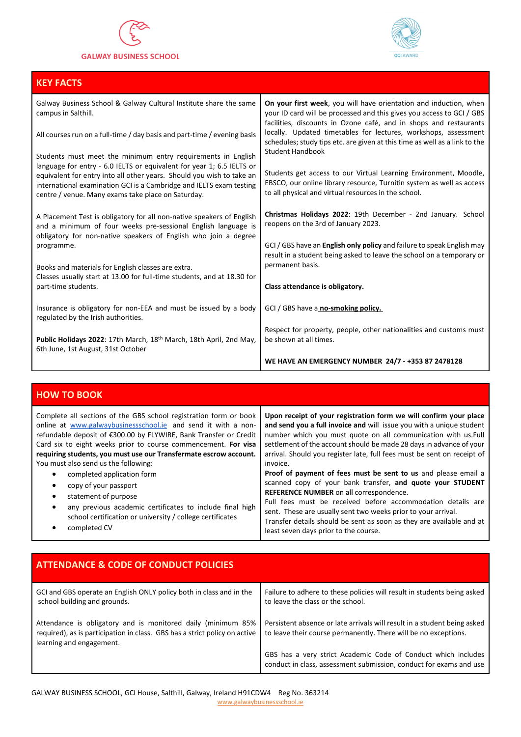

#### **GALWAY BUSINESS SCHOOL**



| <b>KEY FACTS</b>                                                                                                                                                                                                                                                                                                                                                                       |                                                                                                                                                                                                                                                                                                                                                                                                                                                                 |
|----------------------------------------------------------------------------------------------------------------------------------------------------------------------------------------------------------------------------------------------------------------------------------------------------------------------------------------------------------------------------------------|-----------------------------------------------------------------------------------------------------------------------------------------------------------------------------------------------------------------------------------------------------------------------------------------------------------------------------------------------------------------------------------------------------------------------------------------------------------------|
| Galway Business School & Galway Cultural Institute share the same<br>campus in Salthill.<br>All courses run on a full-time / day basis and part-time / evening basis<br>Students must meet the minimum entry requirements in English<br>language for entry - 6.0 IELTS or equivalent for year 1; 6.5 IELTS or<br>equivalent for entry into all other years. Should you wish to take an | On your first week, you will have orientation and induction, when<br>your ID card will be processed and this gives you access to GCI / GBS<br>facilities, discounts in Ozone café, and in shops and restaurants<br>locally. Updated timetables for lectures, workshops, assessment<br>schedules; study tips etc. are given at this time as well as a link to the<br><b>Student Handbook</b><br>Students get access to our Virtual Learning Environment, Moodle, |
| international examination GCI is a Cambridge and IELTS exam testing<br>centre / venue. Many exams take place on Saturday.                                                                                                                                                                                                                                                              | EBSCO, our online library resource, Turnitin system as well as access<br>to all physical and virtual resources in the school.                                                                                                                                                                                                                                                                                                                                   |
| A Placement Test is obligatory for all non-native speakers of English<br>and a minimum of four weeks pre-sessional English language is<br>obligatory for non-native speakers of English who join a degree                                                                                                                                                                              | Christmas Holidays 2022: 19th December - 2nd January. School<br>reopens on the 3rd of January 2023.                                                                                                                                                                                                                                                                                                                                                             |
| programme.<br>Books and materials for English classes are extra.                                                                                                                                                                                                                                                                                                                       | GCI / GBS have an <b>English only policy</b> and failure to speak English may<br>result in a student being asked to leave the school on a temporary or<br>permanent basis.                                                                                                                                                                                                                                                                                      |
| Classes usually start at 13.00 for full-time students, and at 18.30 for<br>part-time students.                                                                                                                                                                                                                                                                                         | Class attendance is obligatory.                                                                                                                                                                                                                                                                                                                                                                                                                                 |
| Insurance is obligatory for non-EEA and must be issued by a body<br>regulated by the Irish authorities.                                                                                                                                                                                                                                                                                | GCI / GBS have a no-smoking policy.                                                                                                                                                                                                                                                                                                                                                                                                                             |
| Public Holidays 2022: 17th March, 18th March, 18th April, 2nd May,<br>6th June, 1st August, 31st October                                                                                                                                                                                                                                                                               | Respect for property, people, other nationalities and customs must<br>be shown at all times.                                                                                                                                                                                                                                                                                                                                                                    |
|                                                                                                                                                                                                                                                                                                                                                                                        | WE HAVE AN EMERGENCY NUMBER 24/7 - +353 87 2478128                                                                                                                                                                                                                                                                                                                                                                                                              |

| <b>HOW TO BOOK</b>                                                                                                                                                                                                                                                                                                                                                                                                                                                                                                                                                                                                                            |                                                                                                                                                                                                                                                                                                                                                                                                                                                                                                                                                                                                                                                                                                                                                                                                      |
|-----------------------------------------------------------------------------------------------------------------------------------------------------------------------------------------------------------------------------------------------------------------------------------------------------------------------------------------------------------------------------------------------------------------------------------------------------------------------------------------------------------------------------------------------------------------------------------------------------------------------------------------------|------------------------------------------------------------------------------------------------------------------------------------------------------------------------------------------------------------------------------------------------------------------------------------------------------------------------------------------------------------------------------------------------------------------------------------------------------------------------------------------------------------------------------------------------------------------------------------------------------------------------------------------------------------------------------------------------------------------------------------------------------------------------------------------------------|
| Complete all sections of the GBS school registration form or book<br>online at www.galwaybusinessschool.ie and send it with a non-<br>refundable deposit of €300.00 by FLYWIRE, Bank Transfer or Credit<br>Card six to eight weeks prior to course commencement. For visa<br>requiring students, you must use our Transfermate escrow account.<br>You must also send us the following:<br>completed application form<br>copy of your passport<br>٠<br>statement of purpose<br>$\bullet$<br>any previous academic certificates to include final high<br>$\bullet$<br>school certification or university / college certificates<br>completed CV | Upon receipt of your registration form we will confirm your place<br>and send you a full invoice and will issue you with a unique student<br>number which you must quote on all communication with us.Full<br>settlement of the account should be made 28 days in advance of your<br>arrival. Should you register late, full fees must be sent on receipt of<br>invoice.<br>Proof of payment of fees must be sent to us and please email a<br>scanned copy of your bank transfer, and quote your STUDENT<br>REFERENCE NUMBER on all correspondence.<br>Full fees must be received before accommodation details are<br>sent. These are usually sent two weeks prior to your arrival.<br>Transfer details should be sent as soon as they are available and at<br>least seven days prior to the course. |

| <b>ATTENDANCE &amp; CODE OF CONDUCT POLICIES</b>                                                                                                                       |                                                                                                                                             |
|------------------------------------------------------------------------------------------------------------------------------------------------------------------------|---------------------------------------------------------------------------------------------------------------------------------------------|
| GCI and GBS operate an English ONLY policy both in class and in the<br>school building and grounds.                                                                    | Failure to adhere to these policies will result in students being asked<br>to leave the class or the school.                                |
| Attendance is obligatory and is monitored daily (minimum 85%<br>required), as is participation in class. GBS has a strict policy on active<br>learning and engagement. | Persistent absence or late arrivals will result in a student being asked<br>to leave their course permanently. There will be no exceptions. |
|                                                                                                                                                                        | GBS has a very strict Academic Code of Conduct which includes<br>conduct in class, assessment submission, conduct for exams and use         |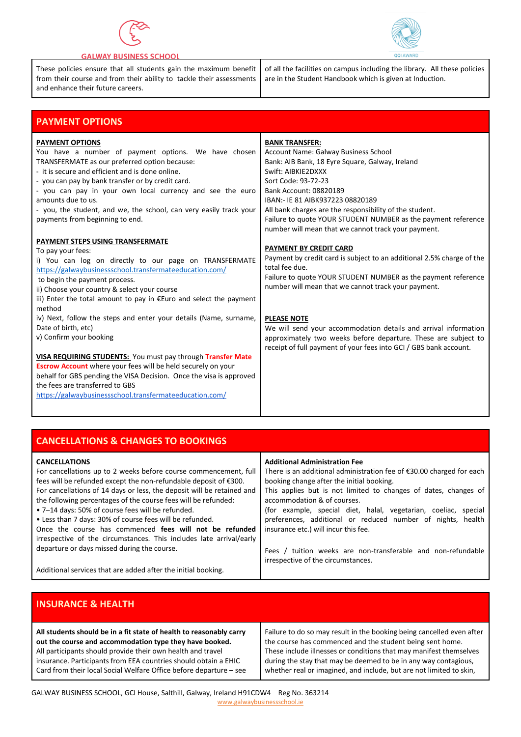

#### **GALWAY BUSINESS SCHOOL**

.<br>r

These policies ensure that all students gain the maximum benefit from their course and from their ability to tackle their assessments and enhance their future careers.

of all the facilities on campus including the library. All these policies are in the Student Handbook which is given at Induction.

| <b>PAYMENT OPTIONS</b>                                                                                                                                                                                                                                                                                                                                                                                                               |                                                                                                                                                                                                                                                                                                                                                                                                                |
|--------------------------------------------------------------------------------------------------------------------------------------------------------------------------------------------------------------------------------------------------------------------------------------------------------------------------------------------------------------------------------------------------------------------------------------|----------------------------------------------------------------------------------------------------------------------------------------------------------------------------------------------------------------------------------------------------------------------------------------------------------------------------------------------------------------------------------------------------------------|
| <b>PAYMENT OPTIONS</b><br>You have a number of payment options. We have chosen<br>TRANSFERMATE as our preferred option because:<br>- it is secure and efficient and is done online.<br>- you can pay by bank transfer or by credit card.<br>- you can pay in your own local currency and see the euro<br>amounts due to us.<br>- you, the student, and we, the school, can very easily track your<br>payments from beginning to end. | <b>BANK TRANSFER:</b><br>Account Name: Galway Business School<br>Bank: AIB Bank, 18 Eyre Square, Galway, Ireland<br>Swift: AIBKIE2DXXX<br>Sort Code: 93-72-23<br>Bank Account: 08820189<br>IBAN:- IE 81 AIBK937223 08820189<br>All bank charges are the responsibility of the student.<br>Failure to quote YOUR STUDENT NUMBER as the payment reference<br>number will mean that we cannot track your payment. |
| PAYMENT STEPS USING TRANSFERMATE<br>To pay your fees:<br>i) You can log on directly to our page on TRANSFERMATE<br>https://galwaybusinessschool.transfermateeducation.com/<br>to begin the payment process.<br>ii) Choose your country & select your course<br>iii) Enter the total amount to pay in $Euro$ and select the payment<br>method                                                                                         | <b>PAYMENT BY CREDIT CARD</b><br>Payment by credit card is subject to an additional 2.5% charge of the<br>total fee due.<br>Failure to quote YOUR STUDENT NUMBER as the payment reference<br>number will mean that we cannot track your payment.                                                                                                                                                               |
| iv) Next, follow the steps and enter your details (Name, surname,<br>Date of birth, etc)<br>v) Confirm your booking<br>VISA REQUIRING STUDENTS: You must pay through Transfer Mate<br><b>Escrow Account</b> where your fees will be held securely on your<br>behalf for GBS pending the VISA Decision. Once the visa is approved<br>the fees are transferred to GBS<br>https://galwaybusinessschool.transfermateeducation.com/       | <b>PLEASE NOTE</b><br>We will send your accommodation details and arrival information<br>approximately two weeks before departure. These are subject to<br>receipt of full payment of your fees into GCI / GBS bank account.                                                                                                                                                                                   |

| <b>CANCELLATIONS &amp; CHANGES TO BOOKINGS</b>                         |                                                                      |
|------------------------------------------------------------------------|----------------------------------------------------------------------|
| <b>CANCELLATIONS</b>                                                   | <b>Additional Administration Fee</b>                                 |
| For cancellations up to 2 weeks before course commencement, full       | There is an additional administration fee of €30.00 charged for each |
| fees will be refunded except the non-refundable deposit of €300.       | booking change after the initial booking.                            |
| For cancellations of 14 days or less, the deposit will be retained and | This applies but is not limited to changes of dates, changes of      |
| the following percentages of the course fees will be refunded:         | accommodation & of courses.                                          |
| • 7-14 days: 50% of course fees will be refunded.                      | (for example, special diet, halal, vegetarian, coeliac, special      |
| • Less than 7 days: 30% of course fees will be refunded.               | preferences, additional or reduced number of nights, health          |
| Once the course has commenced fees will not be refunded                | insurance etc.) will incur this fee.                                 |
| irrespective of the circumstances. This includes late arrival/early    |                                                                      |
| departure or days missed during the course.                            | Fees / tuition weeks are non-transferable and non-refundable         |
|                                                                        | irrespective of the circumstances.                                   |
| Additional services that are added after the initial booking.          |                                                                      |

### **INSURANCE & HEALTH**

| All students should be in a fit state of health to reasonably carry | Failure to do so may result in the booking being cancelled even after |
|---------------------------------------------------------------------|-----------------------------------------------------------------------|
| out the course and accommodation type they have booked.             | the course has commenced and the student being sent home.             |
| All participants should provide their own health and travel         | These include illnesses or conditions that may manifest themselves    |
| insurance. Participants from EEA countries should obtain a EHIC     | during the stay that may be deemed to be in any way contagious,       |
| Card from their local Social Welfare Office before departure - see  | whether real or imagined, and include, but are not limited to skin,   |

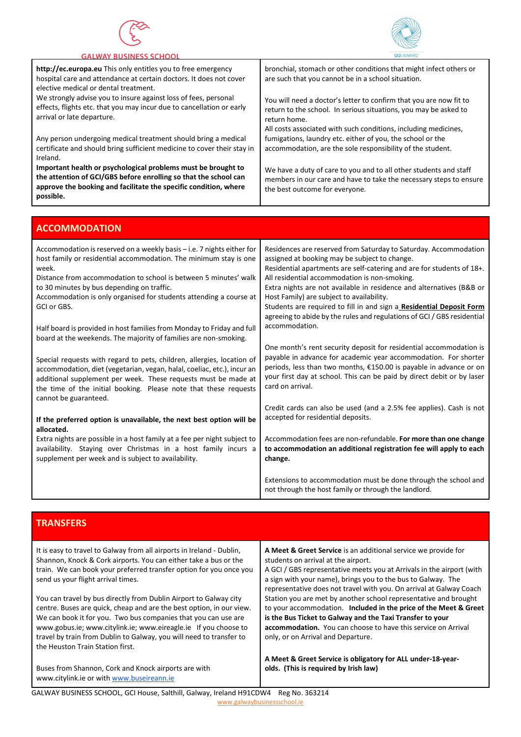



| <b>GALWAY BUSINESS SCHOOL</b>                                                                                                                                                                                      |                                                                                                                                                                                                                           |
|--------------------------------------------------------------------------------------------------------------------------------------------------------------------------------------------------------------------|---------------------------------------------------------------------------------------------------------------------------------------------------------------------------------------------------------------------------|
| http://ec.europa.eu This only entitles you to free emergency<br>hospital care and attendance at certain doctors. It does not cover<br>elective medical or dental treatment.                                        | bronchial, stomach or other conditions that might infect others or<br>are such that you cannot be in a school situation.                                                                                                  |
| We strongly advise you to insure against loss of fees, personal<br>effects, flights etc. that you may incur due to cancellation or early<br>arrival or late departure.                                             | You will need a doctor's letter to confirm that you are now fit to<br>return to the school. In serious situations, you may be asked to<br>return home.<br>All costs associated with such conditions, including medicines, |
| Any person undergoing medical treatment should bring a medical<br>certificate and should bring sufficient medicine to cover their stay in<br>Ireland.                                                              | fumigations, laundry etc. either of you, the school or the<br>accommodation, are the sole responsibility of the student.                                                                                                  |
| Important health or psychological problems must be brought to<br>the attention of GCI/GBS before enrolling so that the school can<br>approve the booking and facilitate the specific condition, where<br>possible. | We have a duty of care to you and to all other students and staff<br>members in our care and have to take the necessary steps to ensure<br>the best outcome for everyone.                                                 |

| <b>ACCOMMODATION</b>                                                                                                                                                                                                                                                                                                                                        |                                                                                                                                                                                                                                                                                                                                                                                                                                                                                                                     |
|-------------------------------------------------------------------------------------------------------------------------------------------------------------------------------------------------------------------------------------------------------------------------------------------------------------------------------------------------------------|---------------------------------------------------------------------------------------------------------------------------------------------------------------------------------------------------------------------------------------------------------------------------------------------------------------------------------------------------------------------------------------------------------------------------------------------------------------------------------------------------------------------|
| Accommodation is reserved on a weekly basis - i.e. 7 nights either for<br>host family or residential accommodation. The minimum stay is one<br>week.<br>Distance from accommodation to school is between 5 minutes' walk<br>to 30 minutes by bus depending on traffic.<br>Accommodation is only organised for students attending a course at<br>GCI or GBS. | Residences are reserved from Saturday to Saturday. Accommodation<br>assigned at booking may be subject to change.<br>Residential apartments are self-catering and are for students of 18+.<br>All residential accommodation is non-smoking.<br>Extra nights are not available in residence and alternatives (B&B or<br>Host Family) are subject to availability.<br>Students are required to fill in and sign a Residential Deposit Form<br>agreeing to abide by the rules and regulations of GCI / GBS residential |
| Half board is provided in host families from Monday to Friday and full<br>board at the weekends. The majority of families are non-smoking.                                                                                                                                                                                                                  | accommodation.                                                                                                                                                                                                                                                                                                                                                                                                                                                                                                      |
| Special requests with regard to pets, children, allergies, location of<br>accommodation, diet (vegetarian, vegan, halal, coeliac, etc.), incur an<br>additional supplement per week. These requests must be made at<br>the time of the initial booking. Please note that these requests<br>cannot be guaranteed.                                            | One month's rent security deposit for residential accommodation is<br>payable in advance for academic year accommodation. For shorter<br>periods, less than two months, €150.00 is payable in advance or on<br>your first day at school. This can be paid by direct debit or by laser<br>card on arrival.                                                                                                                                                                                                           |
| If the preferred option is unavailable, the next best option will be                                                                                                                                                                                                                                                                                        | Credit cards can also be used (and a 2.5% fee applies). Cash is not<br>accepted for residential deposits.                                                                                                                                                                                                                                                                                                                                                                                                           |
| allocated.<br>Extra nights are possible in a host family at a fee per night subject to<br>availability. Staying over Christmas in a host family incurs a<br>supplement per week and is subject to availability.                                                                                                                                             | Accommodation fees are non-refundable. For more than one change<br>to accommodation an additional registration fee will apply to each<br>change.                                                                                                                                                                                                                                                                                                                                                                    |
|                                                                                                                                                                                                                                                                                                                                                             | Extensions to accommodation must be done through the school and<br>not through the host family or through the landlord.                                                                                                                                                                                                                                                                                                                                                                                             |

## **TRANSFERS**

| It is easy to travel to Galway from all airports in Ireland - Dublin,<br>Shannon, Knock & Cork airports. You can either take a bus or the<br>train. We can book your preferred transfer option for you once you<br>send us your flight arrival times.                                                                                                                                     | A Meet & Greet Service is an additional service we provide for<br>students on arrival at the airport.<br>A GCI / GBS representative meets you at Arrivals in the airport (with<br>a sign with your name), brings you to the bus to Galway. The<br>representative does not travel with you. On arrival at Galway Coach |
|-------------------------------------------------------------------------------------------------------------------------------------------------------------------------------------------------------------------------------------------------------------------------------------------------------------------------------------------------------------------------------------------|-----------------------------------------------------------------------------------------------------------------------------------------------------------------------------------------------------------------------------------------------------------------------------------------------------------------------|
| You can travel by bus directly from Dublin Airport to Galway city<br>centre. Buses are quick, cheap and are the best option, in our view.<br>We can book it for you. Two bus companies that you can use are<br>www.gobus.ie; www.citylink.ie; www.eireagle.ie If you choose to<br>travel by train from Dublin to Galway, you will need to transfer to<br>the Heuston Train Station first. | Station you are met by another school representative and brought<br>to your accommodation. Included in the price of the Meet & Greet<br>is the Bus Ticket to Galway and the Taxi Transfer to your<br>accommodation. You can choose to have this service on Arrival<br>only, or on Arrival and Departure.              |
| Buses from Shannon, Cork and Knock airports are with<br>www.citylink.ie or with www.buseireann.ie                                                                                                                                                                                                                                                                                         | A Meet & Greet Service is obligatory for ALL under-18-year-<br>olds. (This is required by Irish law)                                                                                                                                                                                                                  |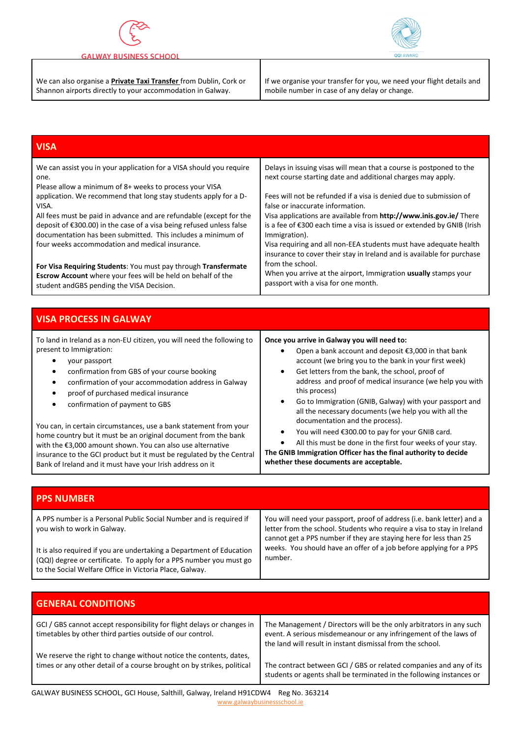

#### **GALWAY BUSINESS SCHOOL**

Bank of Ireland and it must have your Irish address on it

.<br>r

We can also organise a **Private Taxi Transfer** from Dublin, Cork or Shannon airports directly to your accommodation in Galway.



| <b>VISA</b>                                                            |                                                                        |
|------------------------------------------------------------------------|------------------------------------------------------------------------|
| We can assist you in your application for a VISA should you require    | Delays in issuing visas will mean that a course is postponed to the    |
| one.                                                                   | next course starting date and additional charges may apply.            |
| Please allow a minimum of 8+ weeks to process your VISA                | Fees will not be refunded if a visa is denied due to submission of     |
| application. We recommend that long stay students apply for a D-       | false or inaccurate information.                                       |
| VISA.                                                                  | Visa applications are available from http://www.inis.gov.ie/ There     |
| All fees must be paid in advance and are refundable (except for the    | is a fee of €300 each time a visa is issued or extended by GNIB (Irish |
| deposit of €300.00) in the case of a visa being refused unless false   | Immigration).                                                          |
| documentation has been submitted. This includes a minimum of           | Visa requiring and all non-EEA students must have adequate health      |
| four weeks accommodation and medical insurance.                        | insurance to cover their stay in Ireland and is available for purchase |
| For Visa Requiring Students: You must pay through Transfermate         | from the school.                                                       |
| Escrow Account where your fees will be held on behalf of the           | When you arrive at the airport, Immigration usually stamps your        |
| student andGBS pending the VISA Decision.                              | passport with a visa for one month.                                    |
| <b>VISA PROCESS IN GALWAY</b>                                          |                                                                        |
| To land in Ireland as a non-EU citizen, you will need the following to | Once you arrive in Galway you will need to:                            |
| present to Immigration:                                                | Open a bank account and deposit €3,000 in that bank                    |
| your passport                                                          | $\bullet$                                                              |
| $\bullet$                                                              | account (we bring you to the bank in your first week)                  |
| confirmation from GBS of your course booking                           | Get letters from the bank, the school, proof of                        |
| $\bullet$                                                              | address and proof of medical insurance (we help you with               |
| confirmation of your accommodation address in Galway                   | this process)                                                          |
| ٠                                                                      | Go to Immigration (GNIB, Galway) with your passport and                |
| proof of purchased medical insurance                                   | $\bullet$                                                              |
| $\bullet$                                                              | all the necessary documents (we help you with all the                  |
| confirmation of payment to GBS                                         | documentation and the process).                                        |
| You can, in certain circumstances, use a bank statement from your      | You will need €300.00 to pay for your GNIB card.                       |
| home country but it must be an original document from the bank         | ٠                                                                      |

insurance to the GCI product but it must be regulated by the Central **The GNIB Immigration Officer has the final authority to decide whether these documents are acceptable.**

| <b>PPS NUMBER</b>                                                                                                                                                                                     |                                                                                                                                                                                                                       |
|-------------------------------------------------------------------------------------------------------------------------------------------------------------------------------------------------------|-----------------------------------------------------------------------------------------------------------------------------------------------------------------------------------------------------------------------|
| A PPS number is a Personal Public Social Number and is required if<br>you wish to work in Galway.                                                                                                     | You will need your passport, proof of address (i.e. bank letter) and a<br>letter from the school. Students who require a visa to stay in Ireland<br>cannot get a PPS number if they are staying here for less than 25 |
| It is also required if you are undertaking a Department of Education<br>(QQI) degree or certificate. To apply for a PPS number you must go<br>to the Social Welfare Office in Victoria Place, Galway. | weeks. You should have an offer of a job before applying for a PPS<br>number.                                                                                                                                         |

| <b>GENERAL CONDITIONS</b>                                                                                                                    |                                                                                                                                                                                                       |
|----------------------------------------------------------------------------------------------------------------------------------------------|-------------------------------------------------------------------------------------------------------------------------------------------------------------------------------------------------------|
| GCI / GBS cannot accept responsibility for flight delays or changes in<br>timetables by other third parties outside of our control.          | The Management / Directors will be the only arbitrators in any such<br>event. A serious misdemeanour or any infringement of the laws of<br>the land will result in instant dismissal from the school. |
| We reserve the right to change without notice the contents, dates,<br>times or any other detail of a course brought on by strikes, political | The contract between GCI / GBS or related companies and any of its<br>students or agents shall be terminated in the following instances or                                                            |